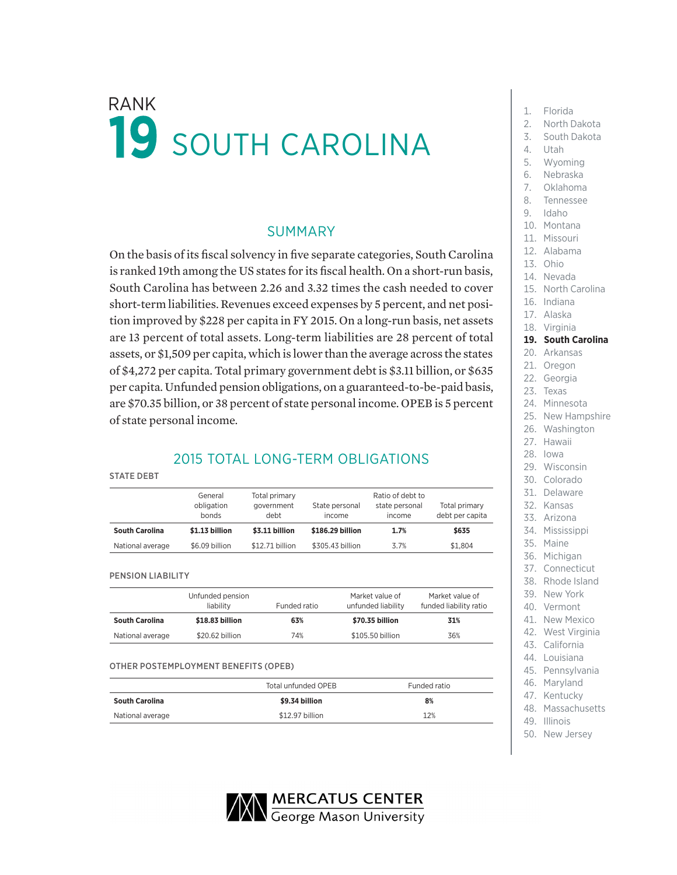# $\mathsf{RANK}$   $\blacksquare$  Florida 19 SOUTH CAROLINA

### SUMMARY

On the basis of its fiscal solvency in five separate categories, South Carolina is ranked 19th among the US states for its fiscal health. On a short-run basis, South Carolina has between 2.26 and 3.32 times the cash needed to cover short-term liabilities. Revenues exceed expenses by 5 percent, and net position improved by \$228 per capita in FY 2015. On a long-run basis, net assets are 13 percent of total assets. Long-term liabilities are 28 percent of total assets, or \$1,509 per capita, which is lower than the average across the states of \$4,272 per capita. Total primary government debt is \$3.11 billion, or \$635 per capita. Unfunded pension obligations, on a guaranteed-to-be-paid basis, are \$70.35 billion, or 38 percent of state personal income. OPEB is 5 percent of state personal income.

## 2015 TOTAL LONG-TERM OBLIGATIONS

#### STATE DEBT

|                       | General<br>obligation<br>bonds | Total primary<br>government<br>debt | State personal<br>income | Ratio of debt to<br>state personal<br>income | Total primary<br>debt per capita |
|-----------------------|--------------------------------|-------------------------------------|--------------------------|----------------------------------------------|----------------------------------|
| <b>South Carolina</b> | \$1.13 billion                 | \$3.11 billion                      | \$186.29 billion         | 1.7%                                         | \$635                            |
| National average      | \$6.09 billion                 | \$12.71 billion                     | \$305.43 billion         | 3.7%                                         | \$1.804                          |

PENSION LIABILITY

|                       | Unfunded pension<br>liability | Funded ratio | Market value of<br>unfunded liability | Market value of<br>funded liability ratio |
|-----------------------|-------------------------------|--------------|---------------------------------------|-------------------------------------------|
| <b>South Carolina</b> | \$18.83 billion               | 63%          | \$70.35 billion                       | 31%                                       |
| National average      | \$20.62 billion               | 74%          | \$105.50 billion                      | 36%                                       |

#### OTHER POSTEMPLOYMENT BENEFITS (OPEB)

|                       | Total unfunded OPEB | Funded ratio |
|-----------------------|---------------------|--------------|
| <b>South Carolina</b> | \$9.34 billion      | 8%           |
| National average      | \$12.97 billion     | 12%          |

- 
- 2. North Dakota
- 3. South Dakota
- 4. Utah
- 5. Wyoming
- 6. Nebraska
- 7. Oklahoma
- 8. Tennessee
- 9. Idaho
- 10. Montana
- 11. Missouri
- 12. Alabama
- 13. Ohio
- 14. Nevada
- 15. North Carolina
- 16. Indiana
- 17. Alaska
- 18. Virginia
- 
- **19. South Carolina**
- 20. Arkansas
- 21. Oregon
- 22. Georgia
- 23. Texas
- 24. Minnesota
- 25. New Hampshire
- 26. Washington
- 27. Hawaii
- 28. Iowa
- 29. Wisconsin
- 30. Colorado
- 31. Delaware
- 32. Kansas
- 33. Arizona
- 34. Mississippi
- 35. Maine
- 36. Michigan
- 37. Connecticut
- 38. Rhode Island
- 39. New York
- 40. Vermont
- 41. New Mexico
- 42. West Virginia
- 43. California
- 44. Louisiana
- 45. Pennsylvania 46. Maryland
- 47. Kentucky
- 48. Massachusetts
- 49. Illinois
- 50. New Jersey